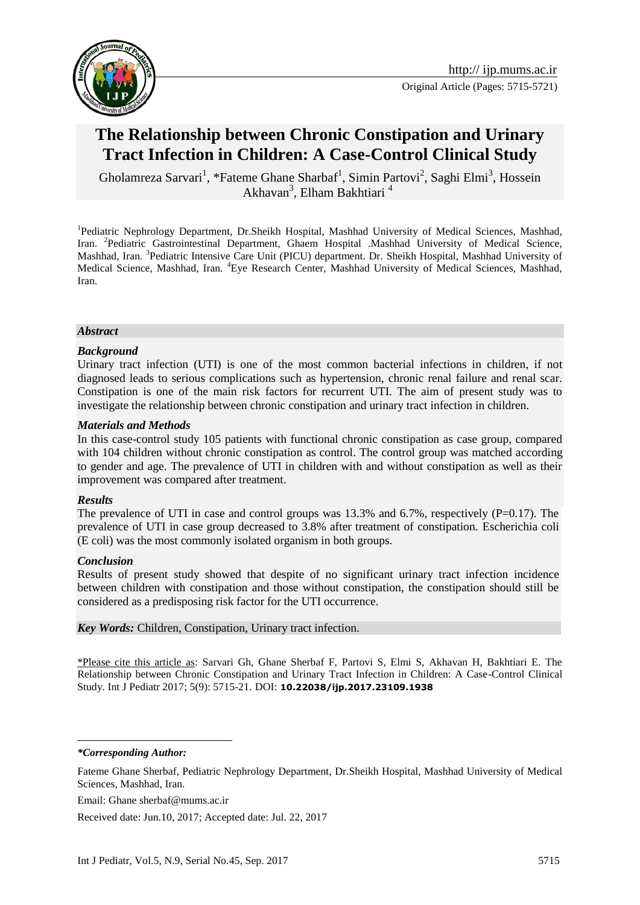

# **The Relationship between Chronic Constipation and Urinary Tract Infection in Children: A Case-Control Clinical Study**

Gholamreza Sarvari<sup>1</sup>, \*Fateme Ghane Sharbaf<sup>1</sup>, Simin Partovi<sup>2</sup>, Saghi Elmi<sup>3</sup>, Hossein Akhavan<sup>3</sup>, Elham Bakhtiari<sup>4</sup>

<sup>1</sup>Pediatric Nephrology Department, Dr.Sheikh Hospital, Mashhad University of Medical Sciences, Mashhad, Iran. <sup>2</sup>Pediatric Gastrointestinal Department, Ghaem Hospital .Mashhad University of Medical Science, Mashhad, Iran. <sup>3</sup>Pediatric Intensive Care Unit (PICU) department. Dr. Sheikh Hospital, Mashhad University of Medical Science, Mashhad, Iran. <sup>4</sup>Eye Research Center, Mashhad University of Medical Sciences, Mashhad, Iran.

#### *Abstract*

### *Background*

Urinary tract infection (UTI) is one of the most common bacterial infections in children, if not diagnosed leads to serious complications such as hypertension, chronic renal failure and renal scar. Constipation is one of the main risk factors for recurrent UTI. The aim of present study was to investigate the relationship between chronic constipation and urinary tract infection in children.

### *Materials and Methods*

In this case-control study 105 patients with functional chronic constipation as case group, compared with 104 children without chronic constipation as control. The control group was matched according to gender and age. The prevalence of UTI in children with and without constipation as well as their improvement was compared after treatment.

#### *Results*

The prevalence of UTI in case and control groups was 13.3% and 6.7%, respectively (P=0.17). The prevalence of UTI in case group decreased to 3.8% after treatment of constipation. Escherichia coli (E coli) was the most commonly isolated organism in both groups.

### *Conclusion*

Results of present study showed that despite of no significant urinary tract infection incidence between children with constipation and those without constipation, the constipation should still be considered as a predisposing risk factor for the UTI occurrence.

#### *Key Words:* Children, Constipation, Urinary tract infection.

\*Please cite this article as: Sarvari Gh, Ghane Sherbaf F, Partovi S, Elmi S, Akhavan H, Bakhtiari E. The Relationship between Chronic Constipation and Urinary Tract Infection in Children: A Case-Control Clinical Study. Int J Pediatr 2017; 5(9): 5715-21. DOI: **[10.22038/ijp.2017.23109.1938](http://dx.doi.org/10.22038/ijp.2017.23109.1938)**

*\*Corresponding Author:*

<u>.</u>

Email: Ghane sherbaf@mums.ac.ir

Received date: Jun.10, 2017; Accepted date: Jul. 22, 2017

Fateme Ghane Sherbaf, Pediatric Nephrology Department, Dr.Sheikh Hospital, Mashhad University of Medical Sciences, Mashhad, Iran.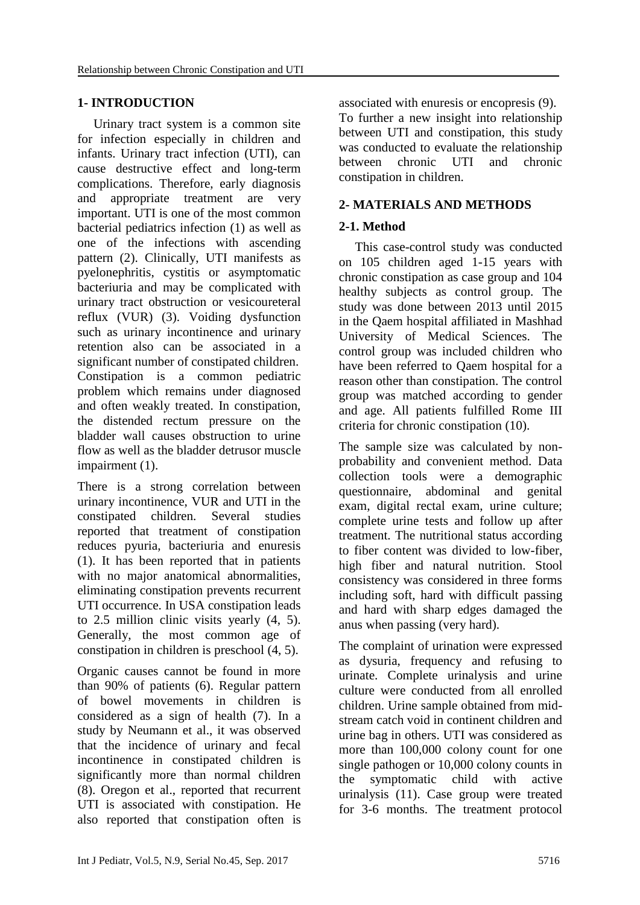# **1- INTRODUCTION**

 Urinary tract system is a common site for infection especially in children and infants. Urinary tract infection (UTI), can cause destructive effect and long-term complications. Therefore, early diagnosis and appropriate treatment are very important. UTI is one of the most common bacterial pediatrics infection [\(1\)](#page-5-0) as well as one of the infections with ascending pattern [\(2\)](#page-5-1). Clinically, UTI manifests as pyelonephritis, cystitis or asymptomatic bacteriuria and may be complicated with urinary tract obstruction or vesicoureteral reflux (VUR) [\(3\)](#page-5-2). Voiding dysfunction such as urinary incontinence and urinary retention also can be associated in a significant number of constipated children. Constipation is a common pediatric problem which remains under diagnosed and often weakly treated. In constipation, the distended rectum pressure on the bladder wall causes obstruction to urine flow as well as the bladder detrusor muscle impairment [\(1\)](#page-5-0).

There is a strong correlation between urinary incontinence, VUR and UTI in the constipated children. Several studies reported that treatment of constipation reduces pyuria, bacteriuria and enuresis [\(1\)](#page-5-0). It has been reported that in patients with no major anatomical abnormalities, eliminating constipation prevents recurrent UTI occurrence. In USA constipation leads to 2.5 million clinic visits yearly [\(4,](#page-5-3) [5\)](#page-5-4). Generally, the most common age of constipation in children is preschool [\(4,](#page-5-3) [5\)](#page-5-4).

Organic causes cannot be found in more than 90% of patients [\(6\)](#page-5-5). Regular pattern of bowel movements in children is considered as a sign of health [\(7\)](#page-5-6). In a study by Neumann et al., it was observed that the incidence of urinary and fecal incontinence in constipated children is significantly more than normal children [\(8\)](#page-5-7). Oregon et al., reported that recurrent UTI is associated with constipation. He also reported that constipation often is associated with enuresis or encopresis [\(9\)](#page-5-8). To further a new insight into relationship between UTI and constipation, this study was conducted to evaluate the relationship between chronic UTI and chronic constipation in children.

# **2- MATERIALS AND METHODS**

# **2-1. Method**

 This case-control study was conducted on 105 children aged 1-15 years with chronic constipation as case group and 104 healthy subjects as control group. The study was done between 2013 until 2015 in the Qaem hospital affiliated in Mashhad University of Medical Sciences. The control group was included children who have been referred to Qaem hospital for a reason other than constipation. The control group was matched according to gender and age. All patients fulfilled Rome III criteria for chronic constipation [\(10\)](#page-5-9).

The sample size was calculated by nonprobability and convenient method. Data collection tools were a demographic questionnaire, abdominal and genital exam, digital rectal exam, urine culture; complete urine tests and follow up after treatment. The nutritional status according to fiber content was divided to low-fiber, high fiber and natural nutrition. Stool consistency was considered in three forms including soft, hard with difficult passing and hard with sharp edges damaged the anus when passing (very hard).

The complaint of urination were expressed as dysuria, frequency and refusing to urinate. Complete urinalysis and urine culture were conducted from all enrolled children. Urine sample obtained from midstream catch void in continent children and urine bag in others. UTI was considered as more than 100,000 colony count for one single pathogen or 10,000 colony counts in the symptomatic child with active urinalysis [\(11\)](#page-5-10). Case group were treated for 3-6 months. The treatment protocol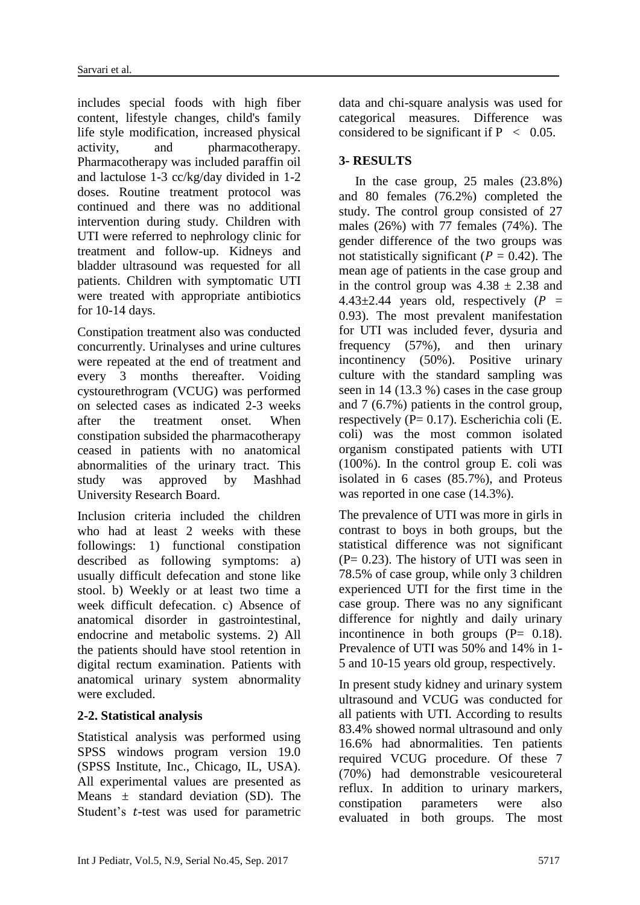includes special foods with high fiber content, lifestyle changes, child's family life style modification, increased physical activity, and pharmacotherapy. Pharmacotherapy was included paraffin oil and lactulose 1-3 cc/kg/day divided in 1-2 doses. Routine treatment protocol was continued and there was no additional intervention during study. Children with UTI were referred to nephrology clinic for treatment and follow-up. Kidneys and bladder ultrasound was requested for all patients. Children with symptomatic UTI were treated with appropriate antibiotics for 10-14 days.

Constipation treatment also was conducted concurrently. Urinalyses and urine cultures were repeated at the end of treatment and every 3 months thereafter. Voiding cystourethrogram (VCUG) was performed on selected cases as indicated 2-3 weeks after the treatment onset. When constipation subsided the pharmacotherapy ceased in patients with no anatomical abnormalities of the urinary tract. This study was approved by Mashhad University Research Board.

Inclusion criteria included the children who had at least 2 weeks with these followings: 1) functional constipation described as following symptoms: a) usually difficult defecation and stone like stool. b) Weekly or at least two time a week difficult defecation. c) Absence of anatomical disorder in gastrointestinal, endocrine and metabolic systems. 2) All the patients should have stool retention in digital rectum examination. Patients with anatomical urinary system abnormality were excluded.

### **2-2. Statistical analysis**

Statistical analysis was performed using SPSS windows program version 19.0 (SPSS Institute, Inc., Chicago, IL, USA). All experimental values are presented as Means  $+$  standard deviation  $(SD)$ . The Student's *t*-test was used for parametric data and chi-square analysis was used for categorical measures. Difference was considered to be significant if  $P < 0.05$ .

### **3- RESULTS**

 In the case group, 25 males (23.8%) and 80 females (76.2%) completed the study. The control group consisted of 27 males (26%) with 77 females (74%). The gender difference of the two groups was not statistically significant ( $P = 0.42$ ). The mean age of patients in the case group and in the control group was  $4.38 \pm 2.38$  and  $4.43\pm2.44$  years old, respectively (P = 0.93). The most prevalent manifestation for UTI was included fever, dysuria and frequency (57%), and then urinary incontinency (50%). Positive urinary culture with the standard sampling was seen in 14 (13.3 %) cases in the case group and 7 (6.7%) patients in the control group, respectively ( $P = 0.17$ ). Escherichia coli (E. coli) was the most common isolated organism constipated patients with UTI (100%). In the control group E. coli was isolated in 6 cases (85.7%), and Proteus was reported in one case (14.3%).

The prevalence of UTI was more in girls in contrast to boys in both groups, but the statistical difference was not significant  $(P= 0.23)$ . The history of UTI was seen in 78.5% of case group, while only 3 children experienced UTI for the first time in the case group. There was no any significant difference for nightly and daily urinary incontinence in both groups  $(P= 0.18)$ . Prevalence of UTI was 50% and 14% in 1- 5 and 10-15 years old group, respectively.

In present study kidney and urinary system ultrasound and VCUG was conducted for all patients with UTI. According to results 83.4% showed normal ultrasound and only 16.6% had abnormalities. Ten patients required VCUG procedure. Of these 7 (70%) had demonstrable vesicoureteral reflux. In addition to urinary markers, constipation parameters were also evaluated in both groups. The most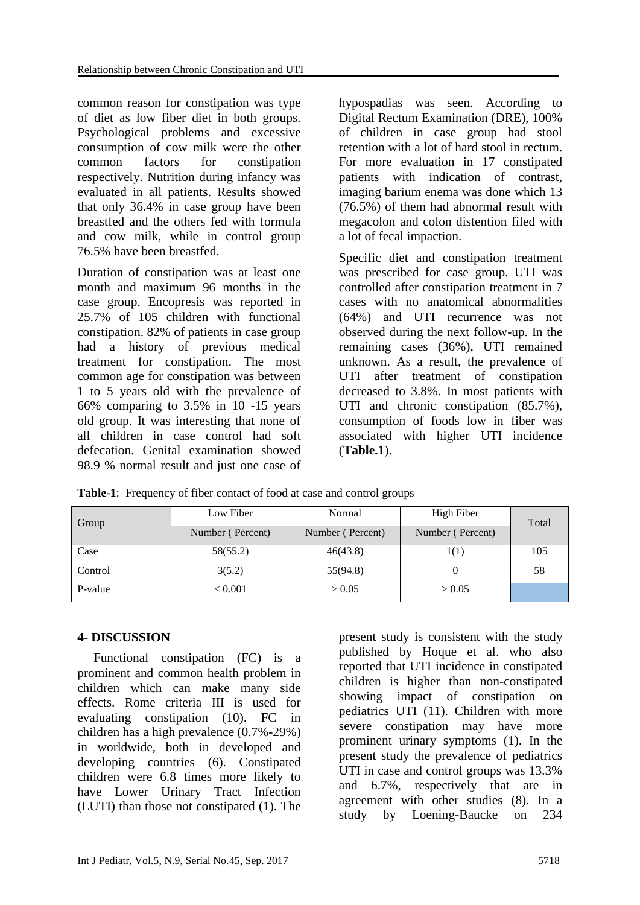common reason for constipation was type of diet as low fiber diet in both groups. Psychological problems and excessive consumption of cow milk were the other common factors for constipation respectively. Nutrition during infancy was evaluated in all patients. Results showed that only 36.4% in case group have been breastfed and the others fed with formula and cow milk, while in control group 76.5% have been breastfed.

Duration of constipation was at least one month and maximum 96 months in the case group. Encopresis was reported in 25.7% of 105 children with functional constipation. 82% of patients in case group had a history of previous medical treatment for constipation. The most common age for constipation was between 1 to 5 years old with the prevalence of 66% comparing to 3.5% in 10 -15 years old group. It was interesting that none of all children in case control had soft defecation. Genital examination showed 98.9 % normal result and just one case of hypospadias was seen. According to Digital Rectum Examination (DRE), 100% of children in case group had stool retention with a lot of hard stool in rectum. For more evaluation in 17 constipated patients with indication of contrast, imaging barium enema was done which 13 (76.5%) of them had abnormal result with megacolon and colon distention filed with a lot of fecal impaction.

Specific diet and constipation treatment was prescribed for case group. UTI was controlled after constipation treatment in 7 cases with no anatomical abnormalities (64%) and UTI recurrence was not observed during the next follow-up. In the remaining cases (36%), UTI remained unknown. As a result, the prevalence of UTI after treatment of constipation decreased to 3.8%. In most patients with UTI and chronic constipation  $(85.7\%)$ , consumption of foods low in fiber was associated with higher UTI incidence (**Table.1**).

| Group   | Low Fiber        | Normal           | High Fiber       | Total |
|---------|------------------|------------------|------------------|-------|
|         | Number (Percent) | Number (Percent) | Number (Percent) |       |
| Case    | 58(55.2)         | 46(43.8)         | 1(1)             | 105   |
| Control | 3(5.2)           | 55(94.8)         |                  | 58    |
| P-value | < 0.001          | > 0.05           | > 0.05           |       |

**Table-1**: Frequency of fiber contact of food at case and control groups

### **4- DISCUSSION**

 Functional constipation (FC) is a prominent and common health problem in children which can make many side effects. Rome criteria III is used for evaluating constipation [\(10\)](#page-5-9). FC in children has a high prevalence (0.7%-29%) in worldwide, both in developed and developing countries [\(6\)](#page-5-5). Constipated children were 6.8 times more likely to have Lower Urinary Tract Infection (LUTI) than those not constipated [\(1\)](#page-5-0). The

present study is consistent with the study published by Hoque et al. who also reported that UTI incidence in constipated children is higher than non-constipated showing impact of constipation on pediatrics UTI [\(11\)](#page-5-10). Children with more severe constipation may have more prominent urinary symptoms [\(1\)](#page-5-0). In the present study the prevalence of pediatrics UTI in case and control groups was 13.3% and 6.7%, respectively that are in agreement with other studies [\(8\)](#page-5-7). In a study by Loening-Baucke on 234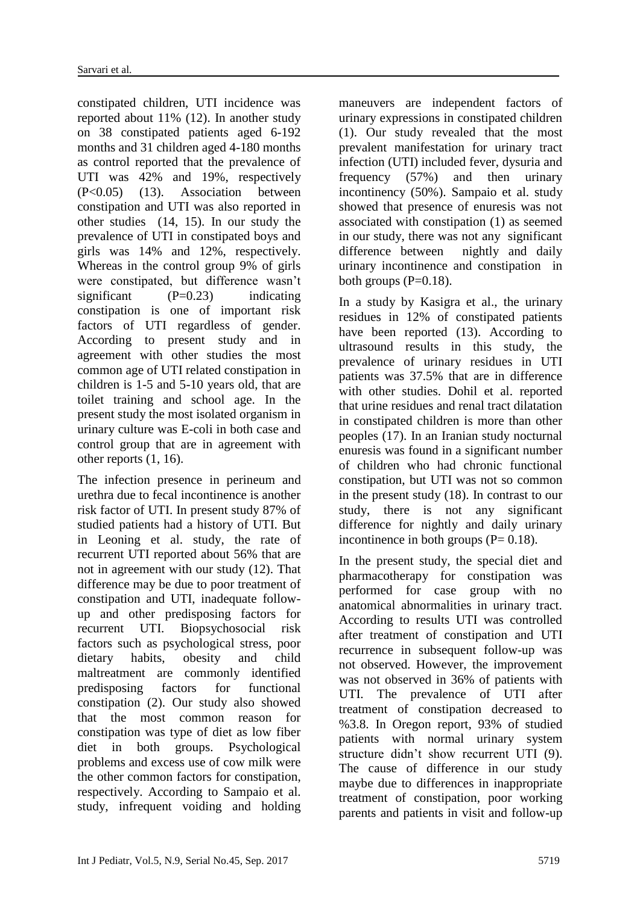constipated children, UTI incidence was reported about 11% [\(12\)](#page-6-0). In another study on 38 constipated patients aged 6-192 months and 31 children aged 4-180 months as control reported that the prevalence of UTI was 42% and 19%, respectively (P<0.05) [\(13\)](#page-6-1). Association between constipation and UTI was also reported in other studies [\(14,](#page-6-2) [15\)](#page-6-3). In our study the prevalence of UTI in constipated boys and girls was 14% and 12%, respectively. Whereas in the control group 9% of girls were constipated, but difference wasn't significant  $(P=0.23)$  indicating constipation is one of important risk factors of UTI regardless of gender. According to present study and in agreement with other studies the most common age of UTI related constipation in children is 1-5 and 5-10 years old, that are toilet training and school age. In the present study the most isolated organism in urinary culture was E-coli in both case and control group that are in agreement with other reports [\(1,](#page-5-0) [16\)](#page-6-4).

The infection presence in perineum and urethra due to fecal incontinence is another risk factor of UTI. In present study 87% of studied patients had a history of UTI. But in Leoning et al. study, the rate of recurrent UTI reported about 56% that are not in agreement with our study [\(12\)](#page-6-0). That difference may be due to poor treatment of constipation and UTI, inadequate followup and other predisposing factors for recurrent UTI. Biopsychosocial risk factors such as psychological stress, poor dietary habits, obesity and child maltreatment are commonly identified predisposing factors for functional constipation [\(2\)](#page-5-1). Our study also showed that the most common reason for constipation was type of diet as low fiber diet in both groups. Psychological problems and excess use of cow milk were the other common factors for constipation, respectively. According to [Sampaio](https://www.ncbi.nlm.nih.gov/pubmed/?term=Sampaio%20C%5BAuthor%5D&cauthor=true&cauthor_uid=27752507) et al. study, infrequent voiding and holding maneuvers are independent factors of urinary expressions in constipated children [\(1\)](#page-5-0). Our study revealed that the most prevalent manifestation for urinary tract infection (UTI) included fever, dysuria and frequency (57%) and then urinary incontinency (50%). [Sampaio](https://www.ncbi.nlm.nih.gov/pubmed/?term=Sampaio%20C%5BAuthor%5D&cauthor=true&cauthor_uid=27752507) et al. study showed that presence of enuresis was not associated with constipation [\(1\)](#page-5-0) as seemed in our study, there was not any significant difference between nightly and daily urinary incontinence and constipation in both groups  $(P=0.18)$ .

In a study by Kasigra et al., the urinary residues in 12% of constipated patients have been reported [\(13\)](#page-6-1). According to ultrasound results in this study, the prevalence of urinary residues in UTI patients was 37.5% that are in difference with other studies. Dohil et al. reported that urine residues and renal tract dilatation in constipated children is more than other peoples [\(17\)](#page-6-5). In an Iranian study nocturnal enuresis was found in a significant number of children who had chronic functional constipation, but UTI was not so common in the present study [\(18\)](#page-6-6). In contrast to our study, there is not any significant difference for nightly and daily urinary incontinence in both groups  $(P= 0.18)$ .

In the present study, the special diet and pharmacotherapy for constipation was performed for case group with no anatomical abnormalities in urinary tract. According to results UTI was controlled after treatment of constipation and UTI recurrence in subsequent follow-up was not observed. However, the improvement was not observed in 36% of patients with UTI. The prevalence of UTI after treatment of constipation decreased to %3.8. In Oregon report, 93% of studied patients with normal urinary system structure didn't show recurrent UTI [\(9\)](#page-5-8). The cause of difference in our study maybe due to differences in inappropriate treatment of constipation, poor working parents and patients in visit and follow-up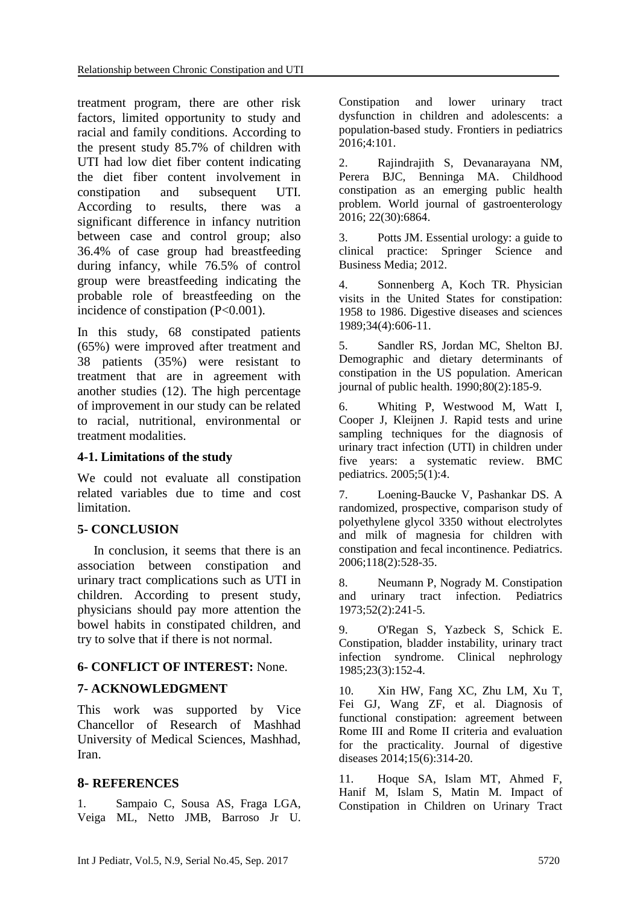treatment program, there are other risk factors, limited opportunity to study and racial and family conditions. According to the present study 85.7% of children with UTI had low diet fiber content indicating the diet fiber content involvement in constipation and subsequent UTI. According to results, there was a significant difference in infancy nutrition between case and control group; also 36.4% of case group had breastfeeding during infancy, while 76.5% of control group were breastfeeding indicating the probable role of breastfeeding on the incidence of constipation (P<0.001).

In this study, 68 constipated patients (65%) were improved after treatment and 38 patients (35%) were resistant to treatment that are in agreement with another studies [\(12\)](#page-6-0). The high percentage of improvement in our study can be related to racial, nutritional, environmental or treatment modalities.

# **4-1. Limitations of the study**

We could not evaluate all constipation related variables due to time and cost limitation.

# **5- CONCLUSION**

 In conclusion, it seems that there is an association between constipation and urinary tract complications such as UTI in children. According to present study, physicians should pay more attention the bowel habits in constipated children, and try to solve that if there is not normal.

# **6- CONFLICT OF INTEREST:** None.

# **7- ACKNOWLEDGMENT**

This work was supported by Vice Chancellor of Research of Mashhad University of Medical Sciences, Mashhad, Iran.

# **8- REFERENCES**

<span id="page-5-0"></span>1. Sampaio C, Sousa AS, Fraga LGA, Veiga ML, Netto JMB, Barroso Jr U. Constipation and lower urinary tract dysfunction in children and adolescents: a population-based study. Frontiers in pediatrics 2016;4:101.

<span id="page-5-1"></span>2. Rajindrajith S, Devanarayana NM, Perera BJC, Benninga MA. Childhood constipation as an emerging public health problem. World journal of gastroenterology 2016; 22(30):6864.

<span id="page-5-2"></span>3. Potts JM. Essential urology: a guide to clinical practice: Springer Science and Business Media; 2012.

<span id="page-5-3"></span>4. Sonnenberg A, Koch TR. Physician visits in the United States for constipation: 1958 to 1986. Digestive diseases and sciences 1989;34(4):606-11.

<span id="page-5-4"></span>5. Sandler RS, Jordan MC, Shelton BJ. Demographic and dietary determinants of constipation in the US population. American journal of public health. 1990;80(2):185-9.

<span id="page-5-5"></span>6. Whiting P, Westwood M, Watt I, Cooper J, Kleijnen J. Rapid tests and urine sampling techniques for the diagnosis of urinary tract infection (UTI) in children under five years: a systematic review. BMC pediatrics. 2005;5(1):4.

<span id="page-5-6"></span>7. Loening-Baucke V, Pashankar DS. A randomized, prospective, comparison study of polyethylene glycol 3350 without electrolytes and milk of magnesia for children with constipation and fecal incontinence. Pediatrics. 2006;118(2):528-35.

<span id="page-5-7"></span>8. Neumann P, Nogrady M. Constipation and urinary tract infection. Pediatrics 1973;52(2):241-5.

<span id="page-5-8"></span>9. O'Regan S, Yazbeck S, Schick E. Constipation, bladder instability, urinary tract infection syndrome. Clinical nephrology 1985;23(3):152-4.

<span id="page-5-9"></span>10. Xin HW, Fang XC, Zhu LM, Xu T, Fei GJ, Wang ZF, et al. Diagnosis of functional constipation: agreement between Rome III and Rome II criteria and evaluation for the practicality. Journal of digestive diseases 2014;15(6):314-20.

<span id="page-5-10"></span>11. Hoque SA, Islam MT, Ahmed F, Hanif M, Islam S, Matin M. Impact of Constipation in Children on Urinary Tract